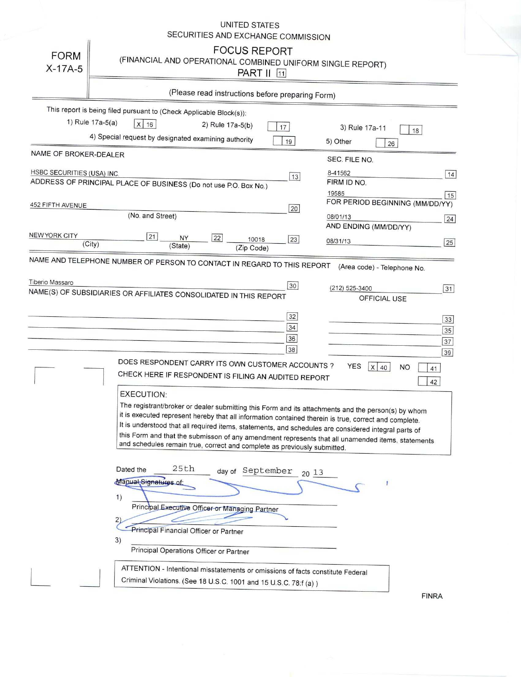## **UNITED STATES** SECURITIES AND EXCHANGE COMMISSION

|                            | ONTILO AND EACHANGE COMMISSION                                                                                                                                                                                                                                                                                                                                                                                                                                                                       |                                         |
|----------------------------|------------------------------------------------------------------------------------------------------------------------------------------------------------------------------------------------------------------------------------------------------------------------------------------------------------------------------------------------------------------------------------------------------------------------------------------------------------------------------------------------------|-----------------------------------------|
| <b>FORM</b><br>$X-17A-5$   | <b>FOCUS REPORT</b><br>(FINANCIAL AND OPERATIONAL COMBINED UNIFORM SINGLE REPORT)<br><b>PART II</b> [11]                                                                                                                                                                                                                                                                                                                                                                                             |                                         |
|                            | (Please read instructions before preparing Form)                                                                                                                                                                                                                                                                                                                                                                                                                                                     |                                         |
|                            |                                                                                                                                                                                                                                                                                                                                                                                                                                                                                                      |                                         |
|                            | This report is being filed pursuant to (Check Applicable Block(s)):                                                                                                                                                                                                                                                                                                                                                                                                                                  |                                         |
|                            | 1) Rule 17a-5(a)<br>$x _{16}$<br>2) Rule 17a-5(b)<br>17                                                                                                                                                                                                                                                                                                                                                                                                                                              | 3) Rule 17a-11<br>18                    |
|                            | 4) Special request by designated examining authority<br>19<br>5) Other                                                                                                                                                                                                                                                                                                                                                                                                                               | 26                                      |
| NAME OF BROKER-DEALER      |                                                                                                                                                                                                                                                                                                                                                                                                                                                                                                      | SEC. FILE NO.                           |
| HSBC SECURITIES (USA) INC. | 8-41562                                                                                                                                                                                                                                                                                                                                                                                                                                                                                              |                                         |
|                            | 13<br>ADDRESS OF PRINCIPAL PLACE OF BUSINESS (Do not use P.O. Box No.)<br>FIRM ID NO.                                                                                                                                                                                                                                                                                                                                                                                                                | 14                                      |
|                            | 19585                                                                                                                                                                                                                                                                                                                                                                                                                                                                                                | 15                                      |
| 452 FIFTH AVENUE           | 20                                                                                                                                                                                                                                                                                                                                                                                                                                                                                                   | FOR PERIOD BEGINNING (MM/DD/YY)         |
|                            | (No. and Street)<br>08/01/13                                                                                                                                                                                                                                                                                                                                                                                                                                                                         | 24                                      |
|                            |                                                                                                                                                                                                                                                                                                                                                                                                                                                                                                      | AND ENDING (MM/DD/YY)                   |
| <b>NEW YORK CITY</b>       | 21<br>NY<br>22<br>10018<br>23<br>08/31/13                                                                                                                                                                                                                                                                                                                                                                                                                                                            | 25                                      |
|                            | (City)<br>(State)<br>(Zip Code)                                                                                                                                                                                                                                                                                                                                                                                                                                                                      |                                         |
|                            | NAME AND TELEPHONE NUMBER OF PERSON TO CONTACT IN REGARD TO THIS REPORT                                                                                                                                                                                                                                                                                                                                                                                                                              | (Area code) - Telephone No.             |
|                            |                                                                                                                                                                                                                                                                                                                                                                                                                                                                                                      |                                         |
| Tiberio Massaro            | 30                                                                                                                                                                                                                                                                                                                                                                                                                                                                                                   | (212) 525-3400<br>31                    |
|                            | NAME(S) OF SUBSIDIARIES OR AFFILIATES CONSOLIDATED IN THIS REPORT                                                                                                                                                                                                                                                                                                                                                                                                                                    | <b>OFFICIAL USE</b>                     |
|                            |                                                                                                                                                                                                                                                                                                                                                                                                                                                                                                      |                                         |
|                            | 32                                                                                                                                                                                                                                                                                                                                                                                                                                                                                                   | 33                                      |
|                            | 34                                                                                                                                                                                                                                                                                                                                                                                                                                                                                                   | 35                                      |
|                            | 36                                                                                                                                                                                                                                                                                                                                                                                                                                                                                                   | 37                                      |
|                            | 38                                                                                                                                                                                                                                                                                                                                                                                                                                                                                                   | 39                                      |
|                            | DOES RESPONDENT CARRY ITS OWN CUSTOMER ACCOUNTS ?                                                                                                                                                                                                                                                                                                                                                                                                                                                    | <b>YES</b><br>$X$ 40<br><b>NO</b><br>41 |
|                            | CHECK HERE IF RESPONDENT IS FILING AN AUDITED REPORT                                                                                                                                                                                                                                                                                                                                                                                                                                                 | 42                                      |
|                            | <b>EXECUTION:</b>                                                                                                                                                                                                                                                                                                                                                                                                                                                                                    |                                         |
|                            | The registrant/broker or dealer submitting this Form and its attachments and the person(s) by whom<br>it is executed represent hereby that all information contained therein is true, correct and complete.<br>It is understood that all required items, statements, and schedules are considered integral parts of<br>this Form and that the submisson of any amendment represents that all unamended items, statements<br>and schedules remain true, correct and complete as previously submitted. |                                         |
|                            | 25th<br>Dated the<br>day of September<br>2013                                                                                                                                                                                                                                                                                                                                                                                                                                                        |                                         |
|                            | Manual Signatures of:                                                                                                                                                                                                                                                                                                                                                                                                                                                                                |                                         |
|                            |                                                                                                                                                                                                                                                                                                                                                                                                                                                                                                      |                                         |
|                            | 1)<br>Principal Executive Officer or Managing Partner                                                                                                                                                                                                                                                                                                                                                                                                                                                |                                         |
|                            |                                                                                                                                                                                                                                                                                                                                                                                                                                                                                                      |                                         |
|                            | 2)<br>Principal Financial Officer or Partner                                                                                                                                                                                                                                                                                                                                                                                                                                                         |                                         |
|                            | 3)                                                                                                                                                                                                                                                                                                                                                                                                                                                                                                   |                                         |
|                            | Principal Operations Officer or Partner                                                                                                                                                                                                                                                                                                                                                                                                                                                              |                                         |
|                            | ATTENTION - Intentional misstatements or omissions of facts constitute Federal                                                                                                                                                                                                                                                                                                                                                                                                                       |                                         |
|                            | Criminal Violations. (See 18 U.S.C. 1001 and 15 U.S.C. 78:f (a) )                                                                                                                                                                                                                                                                                                                                                                                                                                    |                                         |
|                            |                                                                                                                                                                                                                                                                                                                                                                                                                                                                                                      | <b>FINRA</b>                            |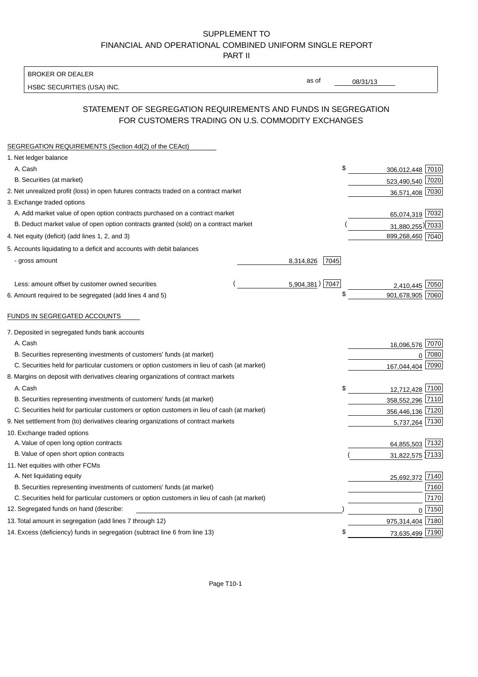## SUPPLEMENT TO FINANCIAL AND OPERATIONAL COMBINED UNIFORM SINGLE REPORT PART II

BROKER OR DEALER

HSBC SECURITIES (USA) INC.

 $08/31/13$ 

as of

## STATEMENT OF SEGREGATION REQUIREMENTS AND FUNDS IN SEGREGATION FOR CUSTOMERS TRADING ON U.S. COMMODITY EXCHANGES

| SEGREGATION REQUIREMENTS (Section 4d(2) of the CEAct)                                       |                          |
|---------------------------------------------------------------------------------------------|--------------------------|
| 1. Net ledger balance                                                                       |                          |
| A. Cash                                                                                     | \$<br>306,012,448 7010   |
| B. Securities (at market)                                                                   | 523,490,540<br>7020      |
| 2. Net unrealized profit (loss) in open futures contracts traded on a contract market       | 36,571,408 7030          |
| 3. Exchange traded options                                                                  |                          |
| A. Add market value of open option contracts purchased on a contract market                 | 65,074,319 7032          |
| B. Deduct market value of open option contracts granted (sold) on a contract market         | 31,880,255) 7033         |
| 4. Net equity (deficit) (add lines 1, 2, and 3)                                             | 899,268,460 7040         |
| 5. Accounts liquidating to a deficit and accounts with debit balances                       |                          |
| 7045<br>- gross amount<br>8,314,826                                                         |                          |
|                                                                                             |                          |
| 5,904,381) 7047<br>Less: amount offset by customer owned securities                         | 2,410,445 7050           |
| 6. Amount required to be segregated (add lines 4 and 5)                                     | \$<br>901,678,905 7060   |
|                                                                                             |                          |
| FUNDS IN SEGREGATED ACCOUNTS                                                                |                          |
| 7. Deposited in segregated funds bank accounts                                              |                          |
| A. Cash                                                                                     | 7070<br>16,096,576       |
| B. Securities representing investments of customers' funds (at market)                      | 7080                     |
| C. Securities held for particular customers or option customers in lieu of cash (at market) | 167,044,404 7090         |
| 8. Margins on deposit with derivatives clearing organizations of contract markets           |                          |
| A. Cash                                                                                     | \$<br>7100<br>12,712,428 |
| B. Securities representing investments of customers' funds (at market)                      | 358,552,296<br>7110      |
| C. Securities held for particular customers or option customers in lieu of cash (at market) | 7120<br>356,446,136      |
| 9. Net settlement from (to) derivatives clearing organizations of contract markets          | 7130<br>5,737,264        |
| 10. Exchange traded options                                                                 |                          |
| A. Value of open long option contracts                                                      | 7132<br>64,855,503       |
| B. Value of open short option contracts                                                     | 31,822,575 7133          |
| 11. Net equities with other FCMs                                                            |                          |
| A. Net liquidating equity                                                                   | 7140<br>25,692,372       |
| B. Securities representing investments of customers' funds (at market)                      | 7160                     |
| C. Securities held for particular customers or option customers in lieu of cash (at market) | 7170                     |
| 12. Segregated funds on hand (describe:                                                     | $0\sqrt{7150}$           |
| 13. Total amount in segregation (add lines 7 through 12)                                    | 975,314,404 7180         |
| 14. Excess (deficiency) funds in segregation (subtract line 6 from line 13)                 | S<br>73,635,499 7190     |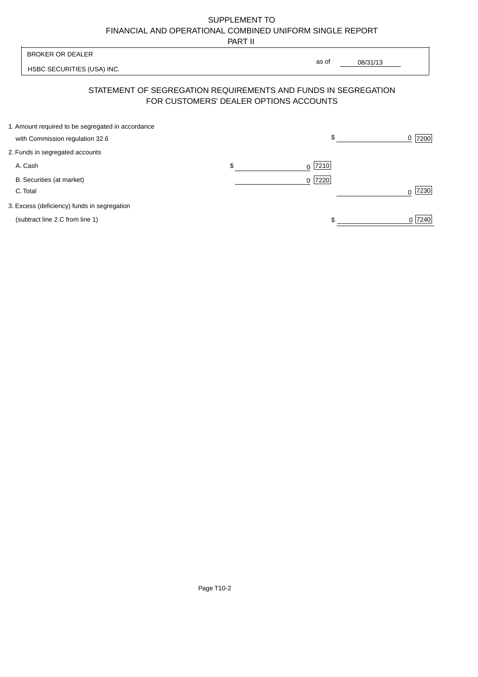## SUPPLEMENT TO FINANCIAL AND OPERATIONAL COMBINED UNIFORM SINGLE REPORT

PART II

|                                                                                      | .                                      |                                                                |                  |
|--------------------------------------------------------------------------------------|----------------------------------------|----------------------------------------------------------------|------------------|
| <b>BROKER OR DEALER</b>                                                              |                                        |                                                                |                  |
| HSBC SECURITIES (USA) INC.                                                           |                                        | as of<br>08/31/13                                              |                  |
|                                                                                      | FOR CUSTOMERS' DEALER OPTIONS ACCOUNTS | STATEMENT OF SEGREGATION REQUIREMENTS AND FUNDS IN SEGREGATION |                  |
| 1. Amount required to be segregated in accordance<br>with Commission regulation 32.6 |                                        | \$                                                             | 7200<br>0        |
| 2. Funds in segregated accounts                                                      |                                        |                                                                |                  |
| A. Cash                                                                              | \$                                     | 7210<br>0                                                      |                  |
| B. Securities (at market)<br>C. Total                                                |                                        | 7220<br>$\Omega$                                               | 7230<br>$\Omega$ |
| 3. Excess (deficiency) funds in segregation                                          |                                        |                                                                |                  |
| (subtract line 2.C from line 1)                                                      |                                        |                                                                | 0 7240           |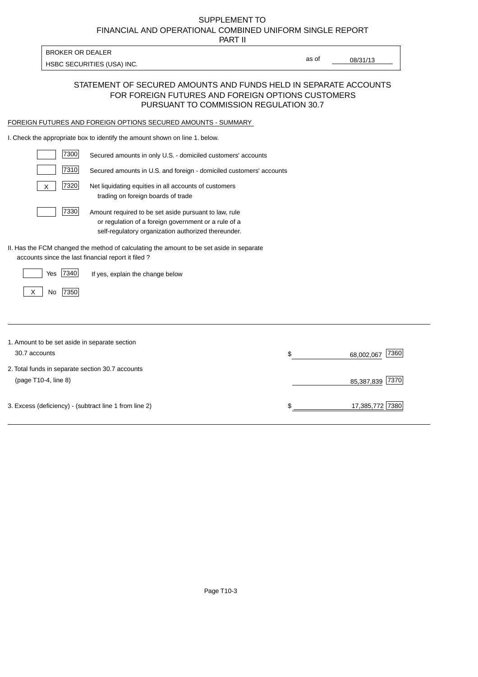# FINANCIAL AND OPERATIONAL COMBINED UNIFORM SINGLE REPORT SUPPLEMENT TO

PART II

| BROKER OR DEALER           |       |          |
|----------------------------|-------|----------|
| HSBC SECURITIES (USA) INC. | as of | 08/31/13 |
|                            |       |          |

#### STATEMENT OF SECURED AMOUNTS AND FUNDS HELD IN SEPARATE ACCOUNTS FOR FOREIGN FUTURES AND FOREIGN OPTIONS CUSTOMERS PURSUANT TO COMMISSION REGULATION 30.7

#### FOREIGN FUTURES AND FOREIGN OPTIONS SECURED AMOUNTS - SUMMARY

I. Check the appropriate box to identify the amount shown on line 1. below.

| 7300                                                   | Secured amounts in only U.S. - domiciled customers' accounts                                                                                                         |    |                    |  |
|--------------------------------------------------------|----------------------------------------------------------------------------------------------------------------------------------------------------------------------|----|--------------------|--|
| 7310                                                   | Secured amounts in U.S. and foreign - domiciled customers' accounts                                                                                                  |    |                    |  |
| 7320<br>X                                              | Net liquidating equities in all accounts of customers<br>trading on foreign boards of trade                                                                          |    |                    |  |
| 7330                                                   | Amount required to be set aside pursuant to law, rule<br>or regulation of a foreign government or a rule of a<br>self-regulatory organization authorized thereunder. |    |                    |  |
| accounts since the last financial report it filed?     | II. Has the FCM changed the method of calculating the amount to be set aside in separate                                                                             |    |                    |  |
| 7340<br>Yes                                            | If yes, explain the change below                                                                                                                                     |    |                    |  |
| 7350<br>No<br>X                                        |                                                                                                                                                                      |    |                    |  |
|                                                        |                                                                                                                                                                      |    |                    |  |
| 1. Amount to be set aside in separate section          |                                                                                                                                                                      |    |                    |  |
| 30.7 accounts                                          |                                                                                                                                                                      | \$ | 7360<br>68,002,067 |  |
| 2. Total funds in separate section 30.7 accounts       |                                                                                                                                                                      |    |                    |  |
| (page T10-4, line 8)                                   |                                                                                                                                                                      |    | 7370<br>85,387,839 |  |
| 3. Excess (deficiency) - (subtract line 1 from line 2) |                                                                                                                                                                      | \$ | 17,385,772<br>7380 |  |
|                                                        |                                                                                                                                                                      |    |                    |  |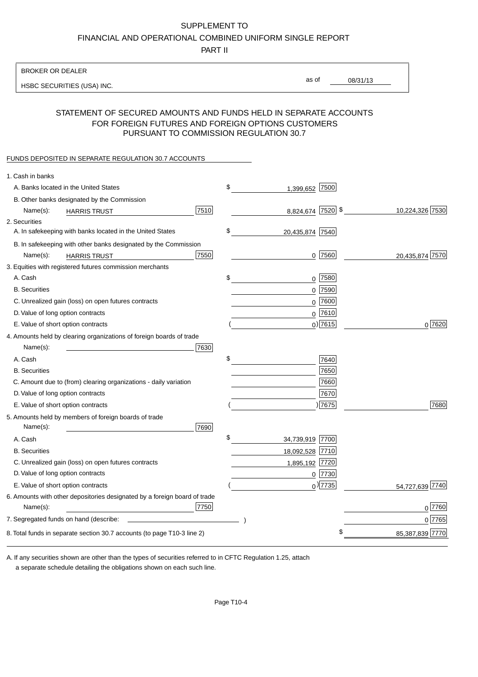#### SUPPLEMENT TO

FINANCIAL AND OPERATIONAL COMBINED UNIFORM SINGLE REPORT

PART II

BROKER OR DEALER

HSBC SECURITIES (USA) INC.

08/31/13 as of

## STATEMENT OF SECURED AMOUNTS AND FUNDS HELD IN SEPARATE ACCOUNTS FOR FOREIGN FUTURES AND FOREIGN OPTIONS CUSTOMERS PURSUANT TO COMMISSION REGULATION 30.7

#### FUNDS DEPOSITED IN SEPARATE REGULATION 30.7 ACCOUNTS

| 1. Cash in banks                                                                              |                       |                 |
|-----------------------------------------------------------------------------------------------|-----------------------|-----------------|
| A. Banks located in the United States                                                         | \$<br>1,399,652 7500  |                 |
| B. Other banks designated by the Commission                                                   |                       |                 |
| 7510<br>Name(s):<br><b>HARRIS TRUST</b>                                                       | 8,824,674 7520 \$     | 10,224,326 7530 |
| 2. Securities                                                                                 |                       |                 |
| A. In safekeeping with banks located in the United States                                     | \$<br>20,435,874 7540 |                 |
| B. In safekeeping with other banks designated by the Commission                               |                       |                 |
| 7550<br>Name(s):<br><b>HARRIS TRUST</b>                                                       | $0$   7560            | 20,435,874 7570 |
| 3. Equities with registered futures commission merchants                                      |                       |                 |
| A. Cash                                                                                       | \$<br>$0$ 7580        |                 |
| <b>B.</b> Securities                                                                          | $0$ 7590              |                 |
| C. Unrealized gain (loss) on open futures contracts                                           | $0$ 7600              |                 |
| D. Value of long option contracts                                                             | $0$ 7610              |                 |
| E. Value of short option contracts                                                            | $0$ ) 7615            | 0 7620          |
| 4. Amounts held by clearing organizations of foreign boards of trade                          |                       |                 |
| Name(s):<br>7630                                                                              |                       |                 |
| A. Cash                                                                                       | \$<br>7640            |                 |
| <b>B.</b> Securities                                                                          | 7650                  |                 |
| C. Amount due to (from) clearing organizations - daily variation                              | 7660                  |                 |
| D. Value of long option contracts                                                             | 7670                  |                 |
| E. Value of short option contracts                                                            | 7675                  | 7680            |
| 5. Amounts held by members of foreign boards of trade<br>Name(s):<br>7690                     |                       |                 |
| A. Cash                                                                                       | \$<br>34,739,919 7700 |                 |
| <b>B.</b> Securities                                                                          | 18,092,528 7710       |                 |
| C. Unrealized gain (loss) on open futures contracts                                           | 1,895,192 7720        |                 |
| D. Value of long option contracts                                                             | $0$  7730             |                 |
| E. Value of short option contracts                                                            | $_0$ ) 7735           | 54,727,639 7740 |
| 6. Amounts with other depositories designated by a foreign board of trade<br>7750<br>Name(s): |                       | 0 7760          |
|                                                                                               |                       | 0 7765          |
|                                                                                               |                       |                 |
| 8. Total funds in separate section 30.7 accounts (to page T10-3 line 2)                       |                       | 85,387,839 7770 |

a separate schedule detailing the obligations shown on each such line. A. If any securities shown are other than the types of securities referred to in CFTC Regulation 1.25, attach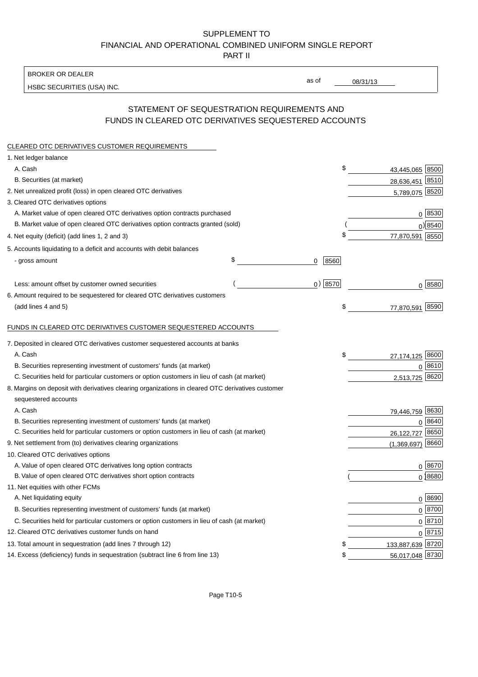## SUPPLEMENT TO FINANCIAL AND OPERATIONAL COMBINED UNIFORM SINGLE REPORT PART II

BROKER OR DEALER

HSBC SECURITIES (USA) INC.

08/31/13

as of

## STATEMENT OF SEQUESTRATION REQUIREMENTS AND FUNDS IN CLEARED OTC DERIVATIVES SEQUESTERED ACCOUNTS

| CLEARED OTC DERIVATIVES CUSTOMER REQUIREMENTS                                                     |                 |                             |
|---------------------------------------------------------------------------------------------------|-----------------|-----------------------------|
| 1. Net ledger balance                                                                             |                 |                             |
| A. Cash                                                                                           | \$              | 43,445,065 8500             |
| B. Securities (at market)                                                                         |                 | 28,636,451 8510             |
| 2. Net unrealized profit (loss) in open cleared OTC derivatives                                   |                 | 5,789,075 8520              |
| 3. Cleared OTC derivatives options                                                                |                 |                             |
| A. Market value of open cleared OTC derivatives option contracts purchased                        |                 | 0   8530                    |
| B. Market value of open cleared OTC derivatives option contracts granted (sold)                   |                 | $0$ <sup>8540</sup>         |
| 4. Net equity (deficit) (add lines 1, 2 and 3)                                                    | \$              | 77,870,591 8550             |
| 5. Accounts liquidating to a deficit and accounts with debit balances                             |                 |                             |
| - gross amount                                                                                    | \$<br>8560<br>0 |                             |
| Less: amount offset by customer owned securities                                                  | $0)$ 8570       | 0   8580                    |
| 6. Amount required to be sequestered for cleared OTC derivatives customers                        |                 |                             |
| (add lines 4 and 5)                                                                               | \$              | 77,870,591 8590             |
| FUNDS IN CLEARED OTC DERIVATIVES CUSTOMER SEQUESTERED ACCOUNTS                                    |                 |                             |
|                                                                                                   |                 |                             |
| 7. Deposited in cleared OTC derivatives customer sequestered accounts at banks<br>A. Cash         | \$              |                             |
| B. Securities representing investment of customers' funds (at market)                             |                 | 27,174,125 8600<br>0   8610 |
| C. Securities held for particular customers or option customers in lieu of cash (at market)       |                 | 8620<br>2,513,725           |
| 8. Margins on deposit with derivatives clearing organizations in cleared OTC derivatives customer |                 |                             |
| sequestered accounts                                                                              |                 |                             |
| A. Cash                                                                                           |                 | 79,446,759 8630             |
| B. Securities representing investment of customers' funds (at market)                             |                 | 0 8640                      |
| C. Securities held for particular customers or option customers in lieu of cash (at market)       |                 | 26,122,727 8650             |
| 9. Net settlement from (to) derivatives clearing organizations                                    |                 | 8660<br>(1,369,697)         |
| 10. Cleared OTC derivatives options                                                               |                 |                             |
| A. Value of open cleared OTC derivatives long option contracts                                    |                 | 0 8670                      |
| B. Value of open cleared OTC derivatives short option contracts                                   |                 | $0$ 8680                    |
| 11. Net equities with other FCMs                                                                  |                 |                             |
| A. Net liquidating equity                                                                         |                 | 0 8690                      |
| B. Securities representing investment of customers' funds (at market)                             |                 | $0$ 8700                    |
| C. Securities held for particular customers or option customers in lieu of cash (at market)       |                 | $0 \frac{8710}{ }$          |
| 12. Cleared OTC derivatives customer funds on hand                                                |                 | $0 \overline{8715}$         |
| 13. Total amount in sequestration (add lines 7 through 12)                                        | \$              | 133,887,639 8720            |
| 14. Excess (deficiency) funds in sequestration (subtract line 6 from line 13)                     | \$              | 56,017,048 8730             |